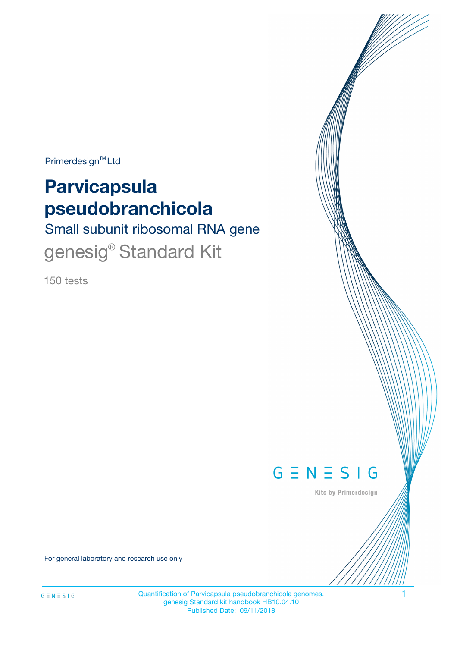Primerdesign<sup>™</sup>Ltd

# **Parvicapsula pseudobranchicola**

Small subunit ribosomal RNA gene genesig<sup>®</sup> Standard Kit

150 tests



Kits by Primerdesign

For general laboratory and research use only

Quantification of Parvicapsula pseudobranchicola genomes. 1 genesig Standard kit handbook HB10.04.10 Published Date: 09/11/2018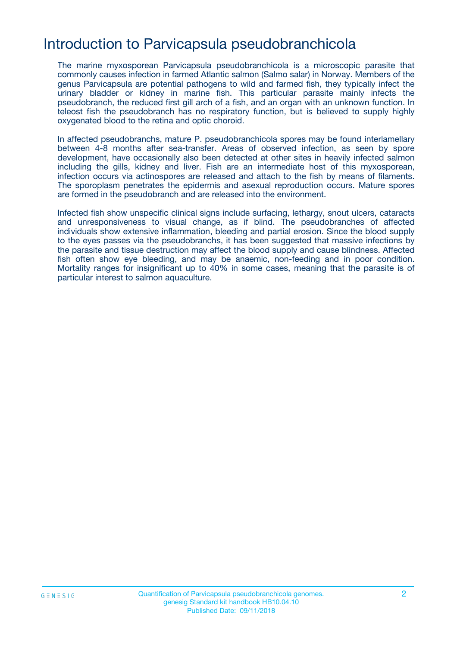### Introduction to Parvicapsula pseudobranchicola

The marine myxosporean Parvicapsula pseudobranchicola is a microscopic parasite that commonly causes infection in farmed Atlantic salmon (Salmo salar) in Norway. Members of the genus Parvicapsula are potential pathogens to wild and farmed fish, they typically infect the urinary bladder or kidney in marine fish. This particular parasite mainly infects the pseudobranch, the reduced first gill arch of a fish, and an organ with an unknown function. In teleost fish the pseudobranch has no respiratory function, but is believed to supply highly oxygenated blood to the retina and optic choroid.

In affected pseudobranchs, mature P. pseudobranchicola spores may be found interlamellary between 4-8 months after sea-transfer. Areas of observed infection, as seen by spore development, have occasionally also been detected at other sites in heavily infected salmon including the gills, kidney and liver. Fish are an intermediate host of this myxosporean, infection occurs via actinospores are released and attach to the fish by means of filaments. The sporoplasm penetrates the epidermis and asexual reproduction occurs. Mature spores are formed in the pseudobranch and are released into the environment.

Infected fish show unspecific clinical signs include surfacing, lethargy, snout ulcers, cataracts and unresponsiveness to visual change, as if blind. The pseudobranches of affected individuals show extensive inflammation, bleeding and partial erosion. Since the blood supply to the eyes passes via the pseudobranchs, it has been suggested that massive infections by the parasite and tissue destruction may affect the blood supply and cause blindness. Affected fish often show eye bleeding, and may be anaemic, non-feeding and in poor condition. Mortality ranges for insignificant up to 40% in some cases, meaning that the parasite is of particular interest to salmon aquaculture.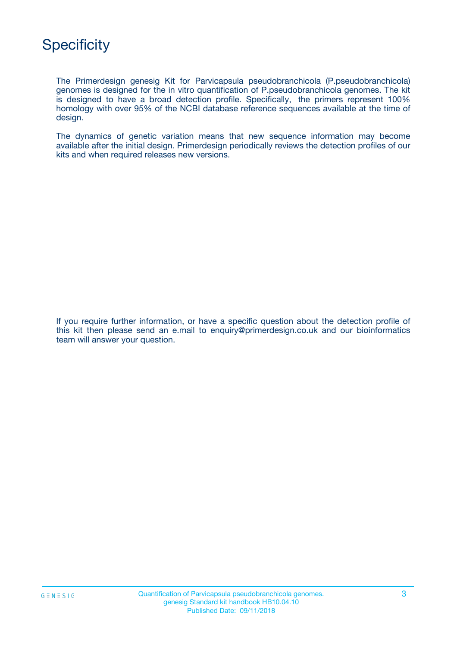# **Specificity**

The Primerdesign genesig Kit for Parvicapsula pseudobranchicola (P.pseudobranchicola) genomes is designed for the in vitro quantification of P.pseudobranchicola genomes. The kit is designed to have a broad detection profile. Specifically, the primers represent 100% homology with over 95% of the NCBI database reference sequences available at the time of design.

The dynamics of genetic variation means that new sequence information may become available after the initial design. Primerdesign periodically reviews the detection profiles of our kits and when required releases new versions.

If you require further information, or have a specific question about the detection profile of this kit then please send an e.mail to enquiry@primerdesign.co.uk and our bioinformatics team will answer your question.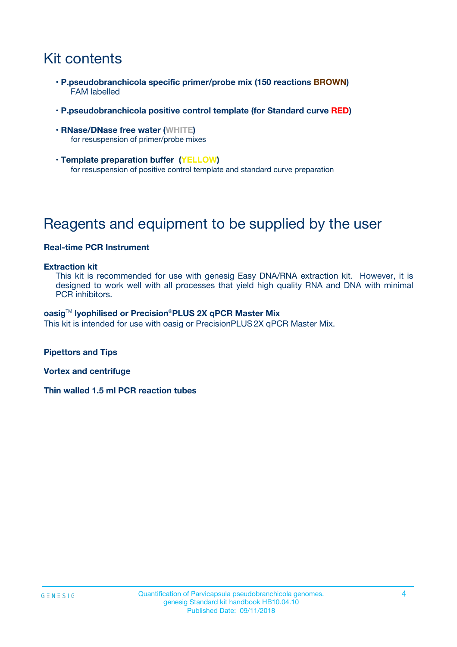# Kit contents

- **P.pseudobranchicola specific primer/probe mix (150 reactions BROWN)** FAM labelled
- **P.pseudobranchicola positive control template (for Standard curve RED)**
- **RNase/DNase free water (WHITE)** for resuspension of primer/probe mixes
- **Template preparation buffer (YELLOW)** for resuspension of positive control template and standard curve preparation

# Reagents and equipment to be supplied by the user

#### **Real-time PCR Instrument**

#### **Extraction kit**

This kit is recommended for use with genesig Easy DNA/RNA extraction kit. However, it is designed to work well with all processes that yield high quality RNA and DNA with minimal PCR inhibitors.

#### **oasig**TM **lyophilised or Precision**®**PLUS 2X qPCR Master Mix**

This kit is intended for use with oasig or PrecisionPLUS2X qPCR Master Mix.

**Pipettors and Tips**

**Vortex and centrifuge**

**Thin walled 1.5 ml PCR reaction tubes**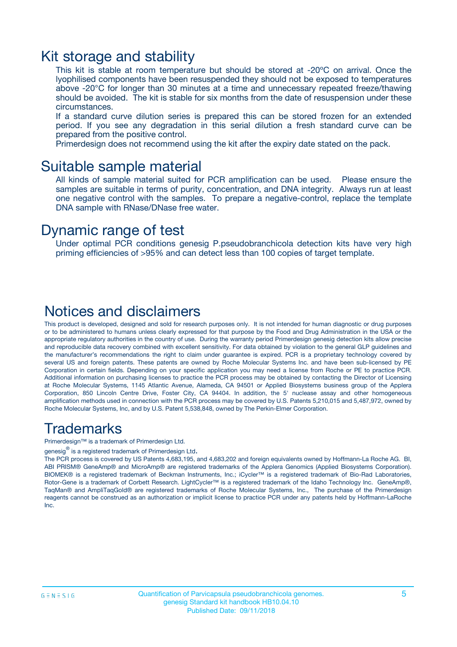### Kit storage and stability

This kit is stable at room temperature but should be stored at -20ºC on arrival. Once the lyophilised components have been resuspended they should not be exposed to temperatures above -20°C for longer than 30 minutes at a time and unnecessary repeated freeze/thawing should be avoided. The kit is stable for six months from the date of resuspension under these circumstances.

If a standard curve dilution series is prepared this can be stored frozen for an extended period. If you see any degradation in this serial dilution a fresh standard curve can be prepared from the positive control.

Primerdesign does not recommend using the kit after the expiry date stated on the pack.

### Suitable sample material

All kinds of sample material suited for PCR amplification can be used. Please ensure the samples are suitable in terms of purity, concentration, and DNA integrity. Always run at least one negative control with the samples. To prepare a negative-control, replace the template DNA sample with RNase/DNase free water.

### Dynamic range of test

Under optimal PCR conditions genesig P.pseudobranchicola detection kits have very high priming efficiencies of >95% and can detect less than 100 copies of target template.

### Notices and disclaimers

This product is developed, designed and sold for research purposes only. It is not intended for human diagnostic or drug purposes or to be administered to humans unless clearly expressed for that purpose by the Food and Drug Administration in the USA or the appropriate regulatory authorities in the country of use. During the warranty period Primerdesign genesig detection kits allow precise and reproducible data recovery combined with excellent sensitivity. For data obtained by violation to the general GLP guidelines and the manufacturer's recommendations the right to claim under guarantee is expired. PCR is a proprietary technology covered by several US and foreign patents. These patents are owned by Roche Molecular Systems Inc. and have been sub-licensed by PE Corporation in certain fields. Depending on your specific application you may need a license from Roche or PE to practice PCR. Additional information on purchasing licenses to practice the PCR process may be obtained by contacting the Director of Licensing at Roche Molecular Systems, 1145 Atlantic Avenue, Alameda, CA 94501 or Applied Biosystems business group of the Applera Corporation, 850 Lincoln Centre Drive, Foster City, CA 94404. In addition, the 5' nuclease assay and other homogeneous amplification methods used in connection with the PCR process may be covered by U.S. Patents 5,210,015 and 5,487,972, owned by Roche Molecular Systems, Inc, and by U.S. Patent 5,538,848, owned by The Perkin-Elmer Corporation.

### Trademarks

Primerdesign™ is a trademark of Primerdesign Ltd.

genesig $^\circledR$  is a registered trademark of Primerdesign Ltd.

The PCR process is covered by US Patents 4,683,195, and 4,683,202 and foreign equivalents owned by Hoffmann-La Roche AG. BI, ABI PRISM® GeneAmp® and MicroAmp® are registered trademarks of the Applera Genomics (Applied Biosystems Corporation). BIOMEK® is a registered trademark of Beckman Instruments, Inc.; iCycler™ is a registered trademark of Bio-Rad Laboratories, Rotor-Gene is a trademark of Corbett Research. LightCycler™ is a registered trademark of the Idaho Technology Inc. GeneAmp®, TaqMan® and AmpliTaqGold® are registered trademarks of Roche Molecular Systems, Inc., The purchase of the Primerdesign reagents cannot be construed as an authorization or implicit license to practice PCR under any patents held by Hoffmann-LaRoche Inc.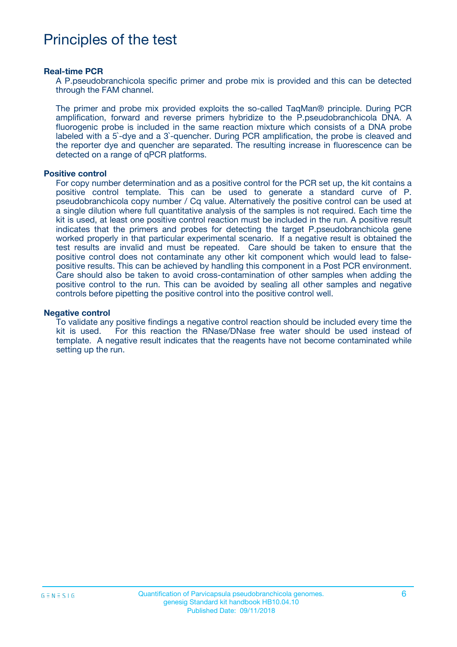## Principles of the test

#### **Real-time PCR**

A P.pseudobranchicola specific primer and probe mix is provided and this can be detected through the FAM channel.

The primer and probe mix provided exploits the so-called TaqMan® principle. During PCR amplification, forward and reverse primers hybridize to the P.pseudobranchicola DNA. A fluorogenic probe is included in the same reaction mixture which consists of a DNA probe labeled with a 5`-dye and a 3`-quencher. During PCR amplification, the probe is cleaved and the reporter dye and quencher are separated. The resulting increase in fluorescence can be detected on a range of qPCR platforms.

#### **Positive control**

For copy number determination and as a positive control for the PCR set up, the kit contains a positive control template. This can be used to generate a standard curve of P. pseudobranchicola copy number / Cq value. Alternatively the positive control can be used at a single dilution where full quantitative analysis of the samples is not required. Each time the kit is used, at least one positive control reaction must be included in the run. A positive result indicates that the primers and probes for detecting the target P.pseudobranchicola gene worked properly in that particular experimental scenario. If a negative result is obtained the test results are invalid and must be repeated. Care should be taken to ensure that the positive control does not contaminate any other kit component which would lead to falsepositive results. This can be achieved by handling this component in a Post PCR environment. Care should also be taken to avoid cross-contamination of other samples when adding the positive control to the run. This can be avoided by sealing all other samples and negative controls before pipetting the positive control into the positive control well.

#### **Negative control**

To validate any positive findings a negative control reaction should be included every time the kit is used. For this reaction the RNase/DNase free water should be used instead of template. A negative result indicates that the reagents have not become contaminated while setting up the run.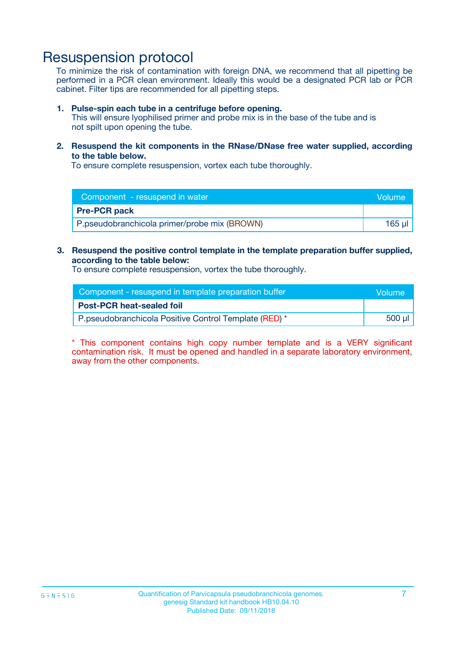### Resuspension protocol

To minimize the risk of contamination with foreign DNA, we recommend that all pipetting be performed in a PCR clean environment. Ideally this would be a designated PCR lab or PCR cabinet. Filter tips are recommended for all pipetting steps.

#### **1. Pulse-spin each tube in a centrifuge before opening.**

This will ensure lyophilised primer and probe mix is in the base of the tube and is not spilt upon opening the tube.

**2. Resuspend the kit components in the RNase/DNase free water supplied, according to the table below.**

To ensure complete resuspension, vortex each tube thoroughly.

| Component - resuspend in water               | <b>Nolume</b> |
|----------------------------------------------|---------------|
| <b>Pre-PCR pack</b>                          |               |
| P.pseudobranchicola primer/probe mix (BROWN) | 165 ul        |

#### **3. Resuspend the positive control template in the template preparation buffer supplied, according to the table below:**

To ensure complete resuspension, vortex the tube thoroughly.

| Component - resuspend in template preparation buffer  |        |  |
|-------------------------------------------------------|--------|--|
| <b>Post-PCR heat-sealed foil</b>                      |        |  |
| P.pseudobranchicola Positive Control Template (RED) * | 500 µl |  |

\* This component contains high copy number template and is a VERY significant contamination risk. It must be opened and handled in a separate laboratory environment, away from the other components.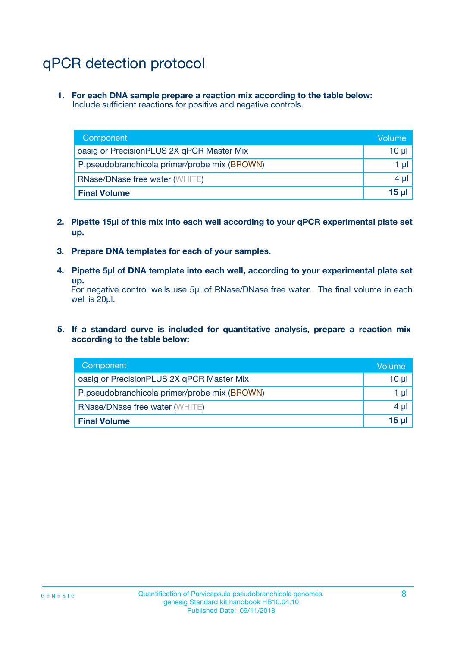# qPCR detection protocol

**1. For each DNA sample prepare a reaction mix according to the table below:** Include sufficient reactions for positive and negative controls.

| Component                                    | Volume   |
|----------------------------------------------|----------|
| oasig or PrecisionPLUS 2X qPCR Master Mix    | $10 \mu$ |
| P.pseudobranchicola primer/probe mix (BROWN) | 1 µl     |
| <b>RNase/DNase free water (WHITE)</b>        | $4 \mu$  |
| <b>Final Volume</b>                          | 15 ul    |

- **2. Pipette 15µl of this mix into each well according to your qPCR experimental plate set up.**
- **3. Prepare DNA templates for each of your samples.**
- **4. Pipette 5µl of DNA template into each well, according to your experimental plate set up.**

For negative control wells use 5µl of RNase/DNase free water. The final volume in each well is 20µl.

**5. If a standard curve is included for quantitative analysis, prepare a reaction mix according to the table below:**

| Component                                    | Volume          |
|----------------------------------------------|-----------------|
| oasig or PrecisionPLUS 2X qPCR Master Mix    | 10 µl           |
| P.pseudobranchicola primer/probe mix (BROWN) | 1 µI            |
| <b>RNase/DNase free water (WHITE)</b>        | $4 \mu$         |
| <b>Final Volume</b>                          | 15 <sub>µ</sub> |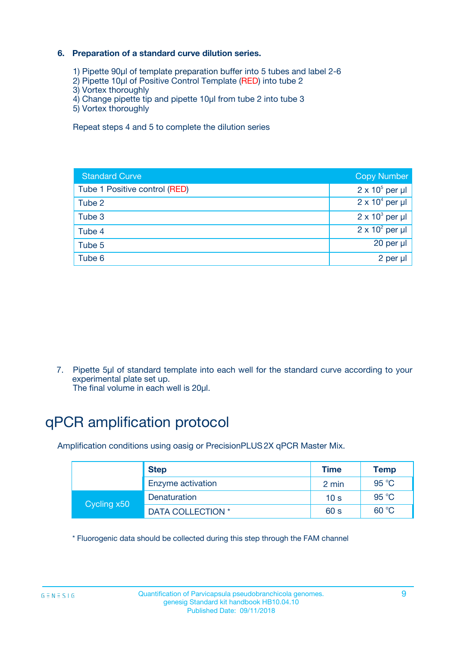### **6. Preparation of a standard curve dilution series.**

- 1) Pipette 90µl of template preparation buffer into 5 tubes and label 2-6
- 2) Pipette 10µl of Positive Control Template (RED) into tube 2
- 3) Vortex thoroughly
- 4) Change pipette tip and pipette 10µl from tube 2 into tube 3
- 5) Vortex thoroughly

Repeat steps 4 and 5 to complete the dilution series

| <b>Standard Curve</b>         | <b>Copy Number</b>     |
|-------------------------------|------------------------|
| Tube 1 Positive control (RED) | $2 \times 10^5$ per µl |
| Tube 2                        | $2 \times 10^4$ per µl |
| Tube 3                        | $2 \times 10^3$ per µl |
| Tube 4                        | $2 \times 10^2$ per µl |
| Tube 5                        | 20 per µl              |
| Tube 6                        | 2 per µl               |

7. Pipette 5µl of standard template into each well for the standard curve according to your experimental plate set up.

The final volume in each well is 20µl.

# qPCR amplification protocol

Amplification conditions using oasig or PrecisionPLUS2X qPCR Master Mix.

|             | <b>Step</b>       | <b>Time</b>     | Temp    |
|-------------|-------------------|-----------------|---------|
|             | Enzyme activation | 2 min           | 95 °C   |
| Cycling x50 | Denaturation      | 10 <sub>s</sub> | 95 $°C$ |
|             | DATA COLLECTION * | 60 s            | 60 °C   |

\* Fluorogenic data should be collected during this step through the FAM channel